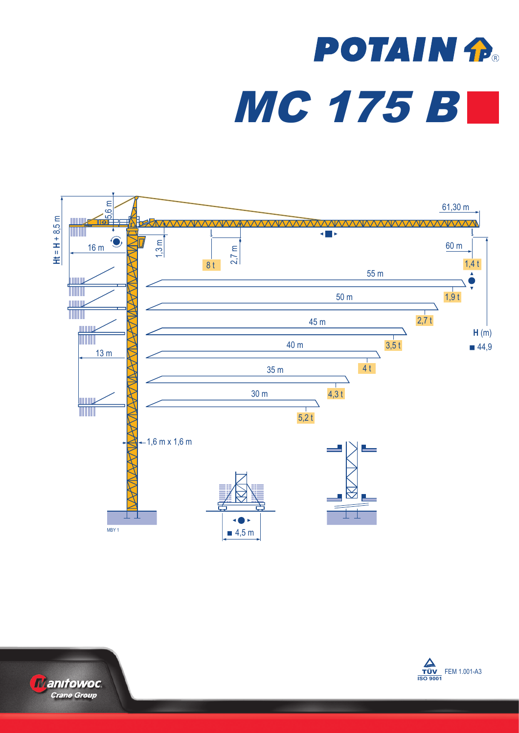## **POTAIN fla** MC 175 B





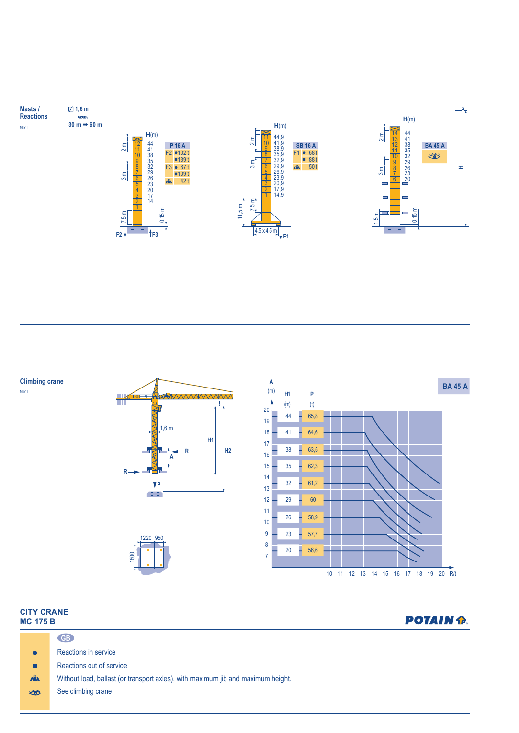

**Climbing crane**

MBY 1







| <b>CITY CRANE</b><br><b>MC 175 B</b> |                                                                                  | <b>POTAIN P.</b> |
|--------------------------------------|----------------------------------------------------------------------------------|------------------|
|                                      | GB                                                                               |                  |
| $\bullet$                            | Reactions in service                                                             |                  |
| п                                    | Reactions out of service                                                         |                  |
| A                                    | Without load, ballast (or transport axles), with maximum jib and maximum height. |                  |
| $\frac{1}{2}$                        | See climbing crane                                                               |                  |
|                                      |                                                                                  |                  |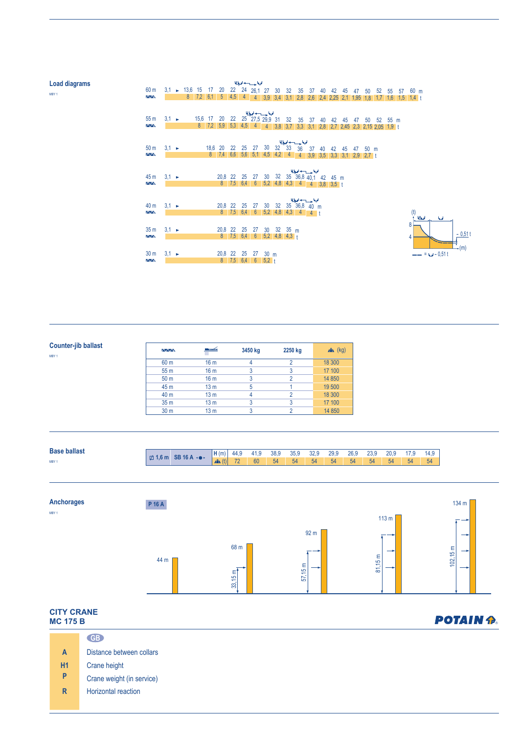| <b>Load diagrams</b><br>MBY 1 | 60 <sub>m</sub>                   |                   | $3,1$ $\rightarrow$ 13,6 15 |      | 17 20   |         |                 | الملحة وسنستد لمبتا<br>22 24 26,1 27 |                       |                    | 30                                       | 32 | 35                                                                                 | 37             | 40 | 42   | 45 | 47 | 50                                 | 52  | 55      | 57  | 60 m             |                    |            |  |
|-------------------------------|-----------------------------------|-------------------|-----------------------------|------|---------|---------|-----------------|--------------------------------------|-----------------------|--------------------|------------------------------------------|----|------------------------------------------------------------------------------------|----------------|----|------|----|----|------------------------------------|-----|---------|-----|------------------|--------------------|------------|--|
|                               | $\sim$                            |                   | 8 <sub>o</sub>              |      |         |         |                 |                                      |                       |                    |                                          |    | 7,2 6,1 5 4,5 4 4 3,9 3,4 3,1 2,8 2,6 2,4 2,25 2,1 1,95                            |                |    |      |    |    | 1,8                                | 1,7 | 1,6     | 1.5 | 1.4 <sub>1</sub> |                    |            |  |
|                               | 55 <sub>m</sub><br>$\sim$         | $3.1 \rightarrow$ |                             | 15,6 | 17      | 20      | 22              | 25 27,5 29,9 31<br>8 7,2 5,9 5,3 4,5 |                       | المليعا حسب لحيانا |                                          | 32 | 35<br>$4$ 4 3,8 3,7 3,3 3,1 2,8 2,7 2,45 2,3 2,15 2,05 1,9 t                       | 37             | 40 | 42   | 45 | 47 | 50                                 |     | 52 55 m |     |                  |                    |            |  |
|                               | 50 <sub>m</sub><br>$\sim$         | $3.1 \rightarrow$ |                             |      | 18,6 20 |         | 22              | 25                                   | 27                    | 30                 | $32 \quad 33$                            |    | الملحة والمستدرج أعيانا<br>36<br>8 7,4 6,6 5,6 5,1 4,5 4,2 4 4 3,9 3,5 3,3 3,1 2,9 | 37             | 40 | 42   | 45 | 47 | $50 \text{ m}$<br>2.7 <sub>t</sub> |     |         |     |                  |                    |            |  |
|                               | 45 m<br>$\sqrt{N}$                | $3.1 \rightarrow$ |                             |      |         | 20,8    | 22<br>8 7,5 6,4 | 25                                   | 27<br>$6\overline{6}$ | 30                 |                                          |    | الملوا حسيب اديا<br>32 35 36,8 $\overline{40,1}$                                   |                | 42 | 45 m |    |    |                                    |     |         |     |                  |                    |            |  |
|                               | 40 m                              | $3,1 \rightarrow$ |                             |      |         |         | 20,8 22         | 25                                   | 27                    | 30 <sup>°</sup>    | 32                                       |    | الملحة سنسبد لحبطا<br>35 36,8 40 m                                                 |                |    |      |    |    |                                    |     |         |     |                  |                    |            |  |
|                               | $\overline{\wedge}\wedge$         |                   |                             |      |         |         | 8 7,5 6,4       |                                      |                       |                    |                                          |    | $6$ $5,2$ $4,8$ $4,3$ $4$                                                          | $\overline{4}$ |    |      |    |    |                                    |     |         |     | المطالة<br>8     |                    | <b>kal</b> |  |
|                               | 35 <sub>m</sub><br>$\Delta\Delta$ | $3,1 \rightarrow$ |                             |      |         |         | 20,8 22         | 25                                   | 27                    | 30                 | $32 \t35 m$<br>8 7,5 6,4 6 5,2 4,8 4,3 t |    |                                                                                    |                |    |      |    |    |                                    |     |         |     |                  |                    |            |  |
|                               | 30 <sub>m</sub><br>$\overline{M}$ | $3.1 -$           |                             |      |         | 20,8 22 |                 | 25<br>$8$ 7,5 6,4 6 5,2 t            | 27                    | 30 <sub>m</sub>    |                                          |    |                                                                                    |                |    |      |    |    |                                    |     |         |     |                  | $-- = 64 - 0.51 t$ |            |  |

(m)  $- 0,51$ 

| Counter-jib ballast<br>MBY 1 | $\sim$ $\sim$   | <u>media</u><br>Ш | 3450 kg | 2250 kg | $x^2$ (kg) |
|------------------------------|-----------------|-------------------|---------|---------|------------|
|                              | 60 m            | 16 <sub>m</sub>   | 4       |         | 18 300     |
|                              | 55 <sub>m</sub> | 16 <sub>m</sub>   |         |         | 17 100     |
|                              | 50 <sub>m</sub> | 16 <sub>m</sub>   |         |         | 14 8 50    |
|                              | 45 m            | 13 <sub>m</sub>   | 5       |         | 19 500     |
|                              | 40 <sub>m</sub> | 13 <sub>m</sub>   | 4       |         | 18 300     |
|                              | 35 <sub>m</sub> | 13 <sub>m</sub>   |         |         | 17 100     |
|                              | 30 <sub>m</sub> | 13 <sub>m</sub>   |         |         | 14 8 50    |



## **CITY CRANE POTAIN P. MC 175 B GB** Distance between collars **A H1** Crane height **P** Crane weight (in service) **R** Horizontal reaction